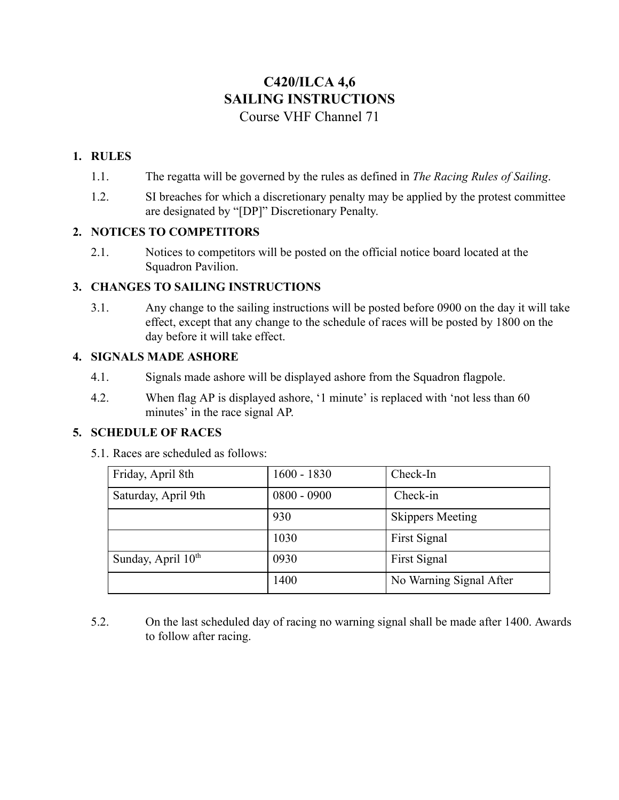# **C420/ILCA 4,6 SAILING INSTRUCTIONS** Course VHF Channel 71

# **1. RULES**

- 1.1. The regatta will be governed by the rules as defined in *The Racing Rules of Sailing*.
- 1.2. SI breaches for which a discretionary penalty may be applied by the protest committee are designated by "[DP]" Discretionary Penalty.

#### **2. NOTICES TO COMPETITORS**

2.1. Notices to competitors will be posted on the official notice board located at the Squadron Pavilion.

#### **3. CHANGES TO SAILING INSTRUCTIONS**

3.1. Any change to the sailing instructions will be posted before 0900 on the day it will take effect, except that any change to the schedule of races will be posted by 1800 on the day before it will take effect.

#### **4. SIGNALS MADE ASHORE**

- 4.1. Signals made ashore will be displayed ashore from the Squadron flagpole.
- 4.2. When flag AP is displayed ashore, '1 minute' is replaced with 'not less than 60 minutes' in the race signal AP.

### **5. SCHEDULE OF RACES**

5.1. Races are scheduled as follows:

| Friday, April 8th              | $1600 - 1830$ | Check-In                |
|--------------------------------|---------------|-------------------------|
| Saturday, April 9th            | $0800 - 0900$ | Check-in                |
|                                | 930           | <b>Skippers Meeting</b> |
|                                | 1030          | First Signal            |
| Sunday, April 10 <sup>th</sup> | 0930          | First Signal            |
|                                | 1400          | No Warning Signal After |

5.2. On the last scheduled day of racing no warning signal shall be made after 1400. Awards to follow after racing.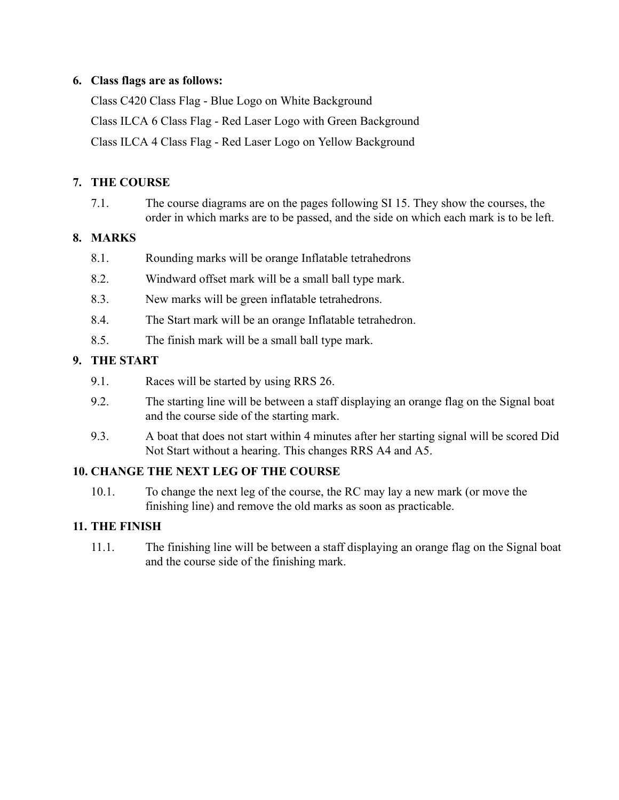### **6. Class flags are as follows:**

Class C420 Class Flag - Blue Logo on White Background Class ILCA 6 Class Flag - Red Laser Logo with Green Background Class ILCA 4 Class Flag - Red Laser Logo on Yellow Background

## **7. THE COURSE**

7.1. The course diagrams are on the pages following SI 15. They show the courses, the order in which marks are to be passed, and the side on which each mark is to be left.

### **8. MARKS**

- 8.1. Rounding marks will be orange Inflatable tetrahedrons
- 8.2. Windward offset mark will be a small ball type mark.
- 8.3. New marks will be green inflatable tetrahedrons.
- 8.4. The Start mark will be an orange Inflatable tetrahedron.
- 8.5. The finish mark will be a small ball type mark.

# **9. THE START**

- 9.1. Races will be started by using RRS 26.
- 9.2. The starting line will be between a staff displaying an orange flag on the Signal boat and the course side of the starting mark.
- 9.3. A boat that does not start within 4 minutes after her starting signal will be scored Did Not Start without a hearing. This changes RRS A4 and A5.

### **10. CHANGE THE NEXT LEG OF THE COURSE**

10.1. To change the next leg of the course, the RC may lay a new mark (or move the finishing line) and remove the old marks as soon as practicable.

### **11. THE FINISH**

11.1. The finishing line will be between a staff displaying an orange flag on the Signal boat and the course side of the finishing mark.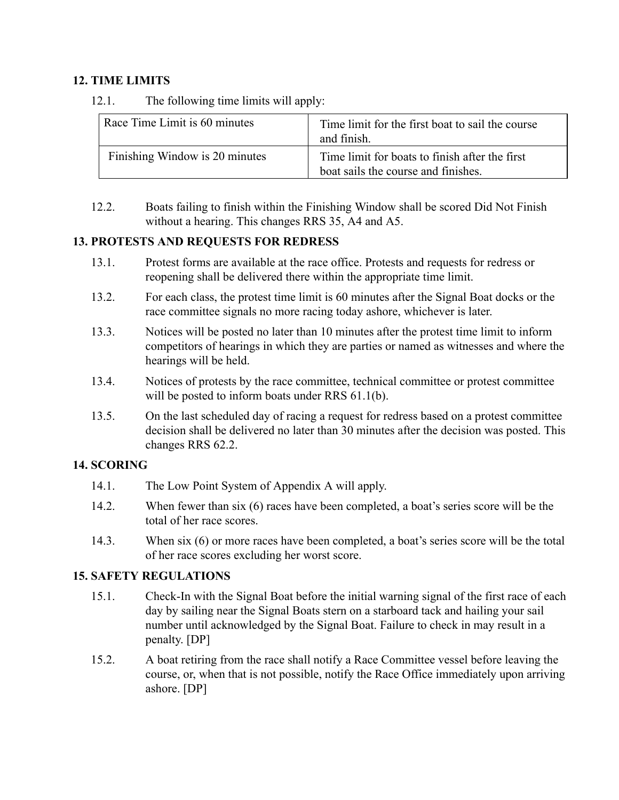#### **12. TIME LIMITS**

12.1. The following time limits will apply:

| Race Time Limit is 60 minutes  | Time limit for the first boat to sail the course<br>and finish.                       |
|--------------------------------|---------------------------------------------------------------------------------------|
| Finishing Window is 20 minutes | Time limit for boats to finish after the first<br>boat sails the course and finishes. |

12.2. Boats failing to finish within the Finishing Window shall be scored Did Not Finish without a hearing. This changes RRS 35, A4 and A5.

### **13. PROTESTS AND REQUESTS FOR REDRESS**

- 13.1. Protest forms are available at the race office. Protests and requests for redress or reopening shall be delivered there within the appropriate time limit.
- 13.2. For each class, the protest time limit is 60 minutes after the Signal Boat docks or the race committee signals no more racing today ashore, whichever is later.
- 13.3. Notices will be posted no later than 10 minutes after the protest time limit to inform competitors of hearings in which they are parties or named as witnesses and where the hearings will be held.
- 13.4. Notices of protests by the race committee, technical committee or protest committee will be posted to inform boats under RRS 61.1(b).
- 13.5. On the last scheduled day of racing a request for redress based on a protest committee decision shall be delivered no later than 30 minutes after the decision was posted. This changes RRS 62.2.

### **14. SCORING**

- 14.1. The Low Point System of Appendix A will apply.
- 14.2. When fewer than six (6) races have been completed, a boat's series score will be the total of her race scores.
- 14.3. When six (6) or more races have been completed, a boat's series score will be the total of her race scores excluding her worst score.

### **15. SAFETY REGULATIONS**

- 15.1. Check-In with the Signal Boat before the initial warning signal of the first race of each day by sailing near the Signal Boats stern on a starboard tack and hailing your sail number until acknowledged by the Signal Boat. Failure to check in may result in a penalty. [DP]
- 15.2. A boat retiring from the race shall notify a Race Committee vessel before leaving the course, or, when that is not possible, notify the Race Office immediately upon arriving ashore. [DP]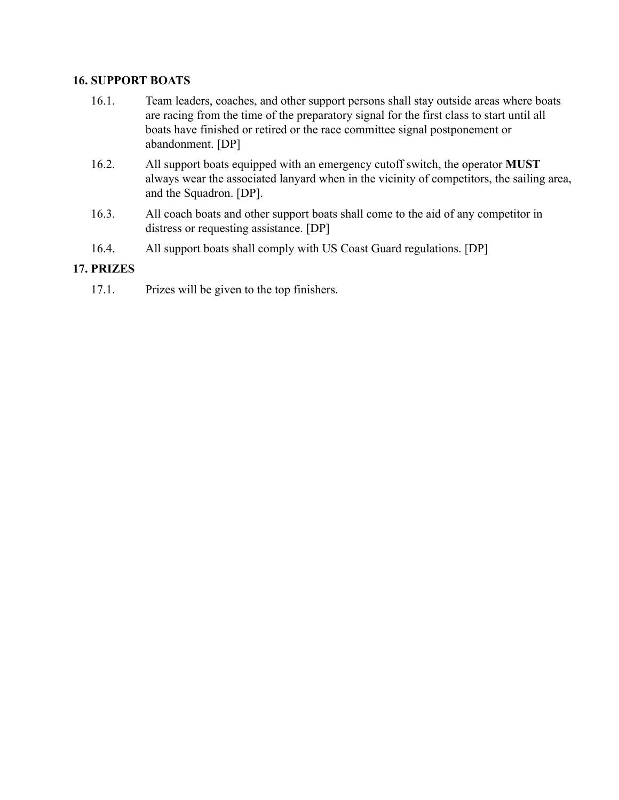#### **16. SUPPORT BOATS**

- 16.1. Team leaders, coaches, and other support persons shall stay outside areas where boats are racing from the time of the preparatory signal for the first class to start until all boats have finished or retired or the race committee signal postponement or abandonment. [DP]
- 16.2. All support boats equipped with an emergency cutoff switch, the operator **MUST** always wear the associated lanyard when in the vicinity of competitors, the sailing area, and the Squadron. [DP].
- 16.3. All coach boats and other support boats shall come to the aid of any competitor in distress or requesting assistance. [DP]
- 16.4. All support boats shall comply with US Coast Guard regulations. [DP]

# **17. PRIZES**

17.1. Prizes will be given to the top finishers.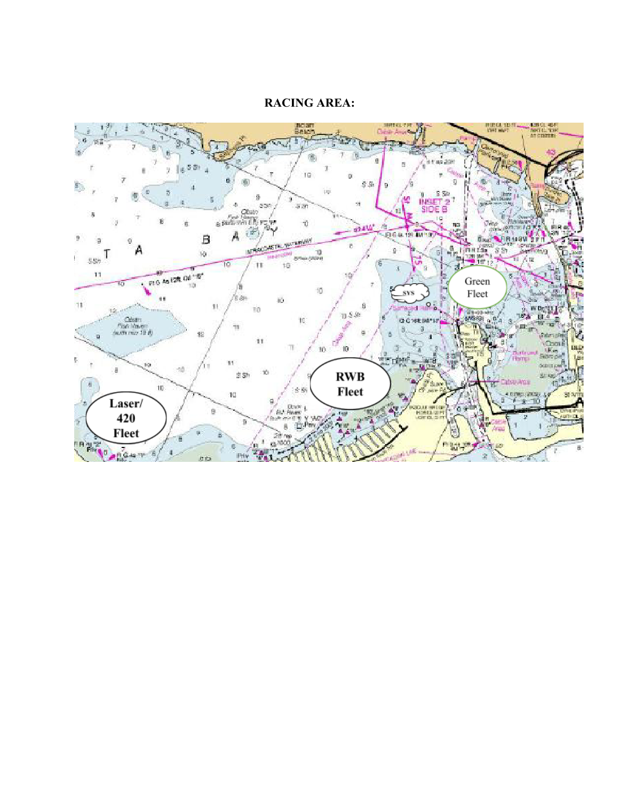### **RACING AREA:**

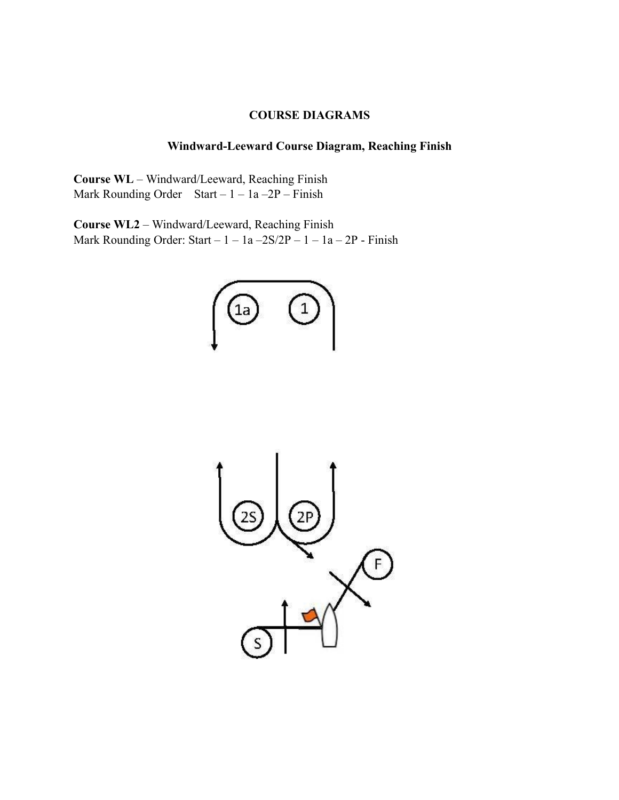#### **COURSE DIAGRAMS**

# **Windward-Leeward Course Diagram, Reaching Finish**

**Course WL** – Windward/Leeward, Reaching Finish Mark Rounding Order Start –  $1 - 1a - 2P$  – Finish

**Course WL2** – Windward/Leeward, Reaching Finish Mark Rounding Order: Start – 1 – 1a –2S/2P – 1 – 1a – 2P - Finish